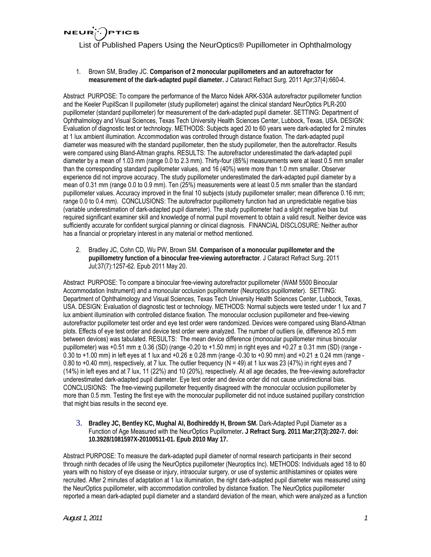**NEUR**  $)$ PTICS

List of Published Papers Using the NeurOptics® Pupillometer in Ophthalmology

1. Brown SM, Bradley JC. **Comparison of 2 monocular pupillometers and an autorefractor for measurement of the dark-adapted pupil diameter.** J Cataract Refract Surg. 2011 Apr;37(4):660-4.

Abstract PURPOSE: To compare the performance of the Marco Nidek ARK-530A autorefractor pupillometer function and the Keeler PupilScan II pupillometer (study pupillometer) against the clinical standard NeurOptics PLR-200 pupillometer (standard pupillometer) for measurement of the dark-adapted pupil diameter. SETTING: Department of Ophthalmology and Visual Sciences, Texas Tech University Health Sciences Center, Lubbock, Texas, USA. DESIGN: Evaluation of diagnostic test or technology. METHODS: Subjects aged 20 to 60 years were dark-adapted for 2 minutes at 1 lux ambient illumination. Accommodation was controlled through distance fixation. The dark-adapted pupil diameter was measured with the standard pupillometer, then the study pupillometer, then the autorefractor. Results were compared using Bland-Altman graphs. RESULTS: The autorefractor underestimated the dark-adapted pupil diameter by a mean of 1.03 mm (range 0.0 to 2.3 mm). Thirty-four (85%) measurements were at least 0.5 mm smaller than the corresponding standard pupillometer values, and 16 (40%) were more than 1.0 mm smaller. Observer experience did not improve accuracy. The study pupillometer underestimated the dark-adapted pupil diameter by a mean of 0.31 mm (range 0.0 to 0.9 mm). Ten (25%) measurements were at least 0.5 mm smaller than the standard pupillometer values. Accuracy improved in the final 10 subjects (study pupillometer smaller; mean difference 0.16 mm; range 0.0 to 0.4 mm). CONCLUSIONS: The autorefractor pupillometry function had an unpredictable negative bias (variable underestimation of dark-adapted pupil diameter). The study pupillometer had a slight negative bias but required significant examiner skill and knowledge of normal pupil movement to obtain a valid result. Neither device was sufficiently accurate for confident surgical planning or clinical diagnosis. FINANCIAL DISCLOSURE: Neither author has a financial or proprietary interest in any material or method mentioned.

2. Bradley JC, Cohn CD, Wu PW, Brown SM. **Comparison of a monocular pupillometer and the pupillometry function of a binocular free-viewing autorefractor**. J Cataract Refract Surg. 2011 Jul;37(7):1257-62. Epub 2011 May 20.

Abstract PURPOSE: To compare a binocular free-viewing autorefractor pupillometer (WAM 5500 Binocular Accommodation Instrument) and a monocular occlusion pupillometer (Neuroptics pupillometer). SETTING: Department of Ophthalmology and Visual Sciences, Texas Tech University Health Sciences Center, Lubbock, Texas, USA. DESIGN: Evaluation of diagnostic test or technology. METHODS: Normal subjects were tested under 1 lux and 7 lux ambient illumination with controlled distance fixation. The monocular occlusion pupillometer and free-viewing autorefractor pupillometer test order and eye test order were randomized. Devices were compared using Bland-Altman plots. Effects of eye test order and device test order were analyzed. The number of outliers (ie, difference ≥0.5 mm between devices) was tabulated. RESULTS: The mean device difference (monocular pupillometer minus binocular pupillometer) was +0.51 mm  $\pm$  0.36 (SD) (range -0.20 to +1.50 mm) in right eyes and +0.27  $\pm$  0.31 mm (SD) (range -0.30 to +1.00 mm) in left eyes at 1 lux and +0.26  $\pm$  0.28 mm (range -0.30 to +0.90 mm) and +0.21  $\pm$  0.24 mm (range -0.80 to +0.40 mm), respectively, at 7 lux. The outlier frequency (N = 49) at 1 lux was 23 (47%) in right eyes and 7 (14%) in left eyes and at 7 lux, 11 (22%) and 10 (20%), respectively. At all age decades, the free-viewing autorefractor underestimated dark-adapted pupil diameter. Eye test order and device order did not cause unidirectional bias. CONCLUSIONS: The free-viewing pupillometer frequently disagreed with the monocular occlusion pupillometer by more than 0.5 mm. Testing the first eye with the monocular pupillometer did not induce sustained pupillary constriction that might bias results in the second eye.

3. **Bradley JC, Bentley KC, Mughal AI, Bodhireddy H, Brown SM.** Dark-Adapted Pupil Diameter as a Function of Age Measured with the NeurOptics Pupillometer**. J Refract Surg. 2011 Mar;27(3):202-7. doi: 10.3928/1081597X-20100511-01. Epub 2010 May 17.**

Abstract PURPOSE: To measure the dark-adapted pupil diameter of normal research participants in their second through ninth decades of life using the NeurOptics pupillometer (Neuroptics Inc). METHODS: Individuals aged 18 to 80 years with no history of eye disease or injury, intraocular surgery, or use of systemic antihistamines or opiates were recruited. After 2 minutes of adaptation at 1 lux illumination, the right dark-adapted pupil diameter was measured using the NeurOptics pupillometer, with accommodation controlled by distance fixation. The NeurOptics pupillometer reported a mean dark-adapted pupil diameter and a standard deviation of the mean, which were analyzed as a function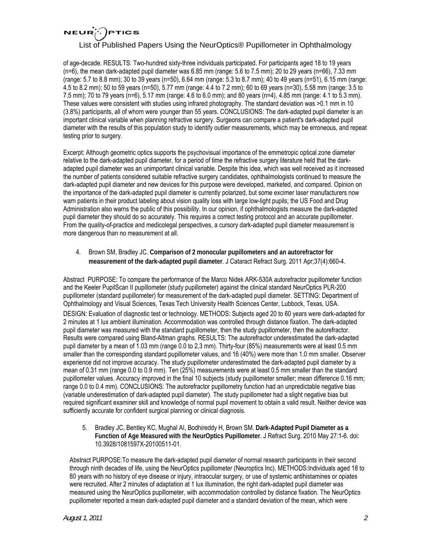#### **NEUR PTICS**

### List of Published Papers Using the NeurOptics® Pupillometer in Ophthalmology

of age-decade. RESULTS: Two-hundred sixty-three individuals participated. For participants aged 18 to 19 years (n=6), the mean dark-adapted pupil diameter was 6.85 mm (range: 5.6 to 7.5 mm); 20 to 29 years (n=66), 7.33 mm (range: 5.7 to 8.8 mm); 30 to 39 years (n=50), 6.64 mm (range: 5.3 to 8.7 mm); 40 to 49 years (n=51), 6.15 mm (range: 4.5 to 8.2 mm); 50 to 59 years (n=50), 5.77 mm (range: 4.4 to 7.2 mm); 60 to 69 years (n=30), 5.58 mm (range: 3.5 to 7.5 mm); 70 to 79 years (n=6), 5.17 mm (range: 4.6 to 6.0 mm); and 80 years (n=4), 4.85 mm (range: 4.1 to 5.3 mm). These values were consistent with studies using infrared photography. The standard deviation was >0.1 mm in 10 (3.8%) participants, all of whom were younger than 55 years. CONCLUSIONS: The dark-adapted pupil diameter is an important clinical variable when planning refractive surgery. Surgeons can compare a patient's dark-adapted pupil diameter with the results of this population study to identify outlier measurements, which may be erroneous, and repeat testing prior to surgery.

Excerpt: Although geometric optics supports the psychovisual importance of the emmetropic optical zone diameter relative to the dark-adapted pupil diameter, for a period of time the refractive surgery literature held that the darkadapted pupil diameter was an unimportant clinical variable. Despite this idea, which was well received as it increased the number of patients considered suitable refractive surgery candidates, ophthalmologists continued to measure the dark-adapted pupil diameter and new devices for this purpose were developed, marketed, and compared. Opinion on the importance of the dark-adapted pupil diameter is currently polarized, but some excimer laser manufacturers now warn patients in their product labeling about vision quality loss with large low-light pupils; the US Food and Drug Administration also warns the public of this possibility. In our opinion, if ophthalmologists measure the dark-adapted pupil diameter they should do so accurately. This requires a correct testing protocol and an accurate pupillometer. From the quality-of-practice and medicolegal perspectives, a cursory dark-adapted pupil diameter measurement is more dangerous than no measurement at all.

4. Brown SM, Bradley JC. **Comparison of 2 monocular pupillometers and an autorefractor for measurement of the dark-adapted pupil diameter**. J Cataract Refract Surg. 2011 Apr;37(4):660-4.

Abstract PURPOSE: To compare the performance of the Marco Nidek ARK-530A autorefractor pupillometer function and the Keeler PupilScan II pupillometer (study pupillometer) against the clinical standard NeurOptics PLR-200 pupillometer (standard pupillometer) for measurement of the dark-adapted pupil diameter. SETTING: Department of Ophthalmology and Visual Sciences, Texas Tech University Health Sciences Center, Lubbock, Texas, USA.

DESIGN: Evaluation of diagnostic test or technology. METHODS: Subjects aged 20 to 60 years were dark-adapted for 2 minutes at 1 lux ambient illumination. Accommodation was controlled through distance fixation. The dark-adapted pupil diameter was measured with the standard pupillometer, then the study pupillometer, then the autorefractor. Results were compared using Bland-Altman graphs. RESULTS: The autorefractor underestimated the dark-adapted pupil diameter by a mean of 1.03 mm (range 0.0 to 2.3 mm). Thirty-four (85%) measurements were at least 0.5 mm smaller than the corresponding standard pupillometer values, and 16 (40%) were more than 1.0 mm smaller. Observer experience did not improve accuracy. The study pupillometer underestimated the dark-adapted pupil diameter by a mean of 0.31 mm (range 0.0 to 0.9 mm). Ten (25%) measurements were at least 0.5 mm smaller than the standard pupillometer values. Accuracy improved in the final 10 subjects (study pupillometer smaller; mean difference 0.16 mm; range 0.0 to 0.4 mm). CONCLUSIONS: The autorefractor pupillometry function had an unpredictable negative bias (variable underestimation of dark-adapted pupil diameter). The study pupillometer had a slight negative bias but required significant examiner skill and knowledge of normal pupil movement to obtain a valid result. Neither device was sufficiently accurate for confident surgical planning or clinical diagnosis.

5. Bradley JC, Bentley KC, Mughal AI, Bodhireddy H, Brown SM. **Dark-Adapted Pupil Diameter as a Function of Age Measured with the NeurOptics Pupillometer**. J Refract Surg. 2010 May 27:1-6. doi: 10.3928/1081597X-20100511-01.

Abstract PURPOSE:To measure the dark-adapted pupil diameter of normal research participants in their second through ninth decades of life, using the NeurOptics pupillometer (Neuroptics Inc). METHODS:Individuals aged 18 to 80 years with no history of eye disease or injury, intraocular surgery, or use of systemic antihistamines or opiates were recruited. After 2 minutes of adaptation at 1 lux illumination, the right dark-adapted pupil diameter was measured using the NeurOptics pupillometer, with accommodation controlled by distance fixation. The NeurOptics pupillometer reported a mean dark-adapted pupil diameter and a standard deviation of the mean, which were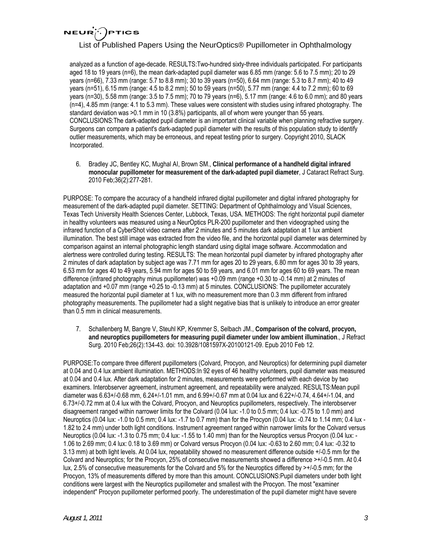### **NEUR PTICS**

# List of Published Papers Using the NeurOptics® Pupillometer in Ophthalmology

analyzed as a function of age-decade. RESULTS:Two-hundred sixty-three individuals participated. For participants aged 18 to 19 years (n=6), the mean dark-adapted pupil diameter was 6.85 mm (range: 5.6 to 7.5 mm); 20 to 29 years (n=66), 7.33 mm (range: 5.7 to 8.8 mm); 30 to 39 years (n=50), 6.64 mm (range: 5.3 to 8.7 mm); 40 to 49 years (n=51), 6.15 mm (range: 4.5 to 8.2 mm); 50 to 59 years (n=50), 5.77 mm (range: 4.4 to 7.2 mm); 60 to 69 years (n=30), 5.58 mm (range: 3.5 to 7.5 mm); 70 to 79 years (n=6), 5.17 mm (range: 4.6 to 6.0 mm); and 80 years (n=4), 4.85 mm (range: 4.1 to 5.3 mm). These values were consistent with studies using infrared photography. The standard deviation was >0.1 mm in 10 (3.8%) participants, all of whom were younger than 55 years. CONCLUSIONS:The dark-adapted pupil diameter is an important clinical variable when planning refractive surgery. Surgeons can compare a patient's dark-adapted pupil diameter with the results of this population study to identify outlier measurements, which may be erroneous, and repeat testing prior to surgery. Copyright 2010, SLACK Incorporated.

6. Bradley JC, Bentley KC, Mughal AI, Brown SM., **Clinical performance of a handheld digital infrared monocular pupillometer for measurement of the dark-adapted pupil diameter**, J Cataract Refract Surg. 2010 Feb;36(2):277-281.

PURPOSE: To compare the accuracy of a handheld infrared digital pupillometer and digital infrared photography for measurement of the dark-adapted pupil diameter. SETTING: Department of Ophthalmology and Visual Sciences, Texas Tech University Health Sciences Center, Lubbock, Texas, USA. METHODS: The right horizontal pupil diameter in healthy volunteers was measured using a NeurOptics PLR-200 pupillometer and then videographed using the infrared function of a CyberShot video camera after 2 minutes and 5 minutes dark adaptation at 1 lux ambient illumination. The best still image was extracted from the video file, and the horizontal pupil diameter was determined by comparison against an internal photographic length standard using digital image software. Accommodation and alertness were controlled during testing. RESULTS: The mean horizontal pupil diameter by infrared photography after 2 minutes of dark adaptation by subject age was 7.71 mm for ages 20 to 29 years, 6.80 mm for ages 30 to 39 years, 6.53 mm for ages 40 to 49 years, 5.94 mm for ages 50 to 59 years, and 6.01 mm for ages 60 to 69 years. The mean difference (infrared photography minus pupillometer) was +0.09 mm (range +0.30 to -0.14 mm) at 2 minutes of adaptation and +0.07 mm (range +0.25 to -0.13 mm) at 5 minutes. CONCLUSIONS: The pupillometer accurately measured the horizontal pupil diameter at 1 lux, with no measurement more than 0.3 mm different from infrared photography measurements. The pupillometer had a slight negative bias that is unlikely to introduce an error greater than 0.5 mm in clinical measurements.

7. Schallenberg M, Bangre V, Steuhl KP, Kremmer S, Selbach JM., **Comparison of the colvard, procyon, and neuroptics pupillometers for measuring pupil diameter under low ambient illumination**., J Refract Surg. 2010 Feb;26(2):134-43. doi: 10.3928/1081597X-20100121-09. Epub 2010 Feb 12.

PURPOSE:To compare three different pupillometers (Colvard, Procyon, and Neuroptics) for determining pupil diameter at 0.04 and 0.4 lux ambient illumination. METHODS:In 92 eyes of 46 healthy volunteers, pupil diameter was measured at 0.04 and 0.4 lux. After dark adaptation for 2 minutes, measurements were performed with each device by two examiners. Interobserver agreement, instrument agreement, and repeatability were analyzed. RESULTS:Mean pupil diameter was 6.63+/-0.68 mm, 6.24+/-1.01 mm, and 6.99+/-0.67 mm at 0.04 lux and 6.22+/-0.74, 4.64+/-1.04, and 6.73+/-0.72 mm at 0.4 lux with the Colvard, Procyon, and Neuroptics pupillometers, respectively. The interobserver disagreement ranged within narrower limits for the Colvard (0.04 lux: -1.0 to 0.5 mm; 0.4 lux: -0.75 to 1.0 mm) and Neuroptics (0.04 lux: -1.0 to 0.5 mm; 0.4 lux: -1.7 to 0.7 mm) than for the Procyon (0.04 lux: -0.74 to 1.14 mm; 0.4 lux - 1.82 to 2.4 mm) under both light conditions. Instrument agreement ranged within narrower limits for the Colvard versus Neuroptics (0.04 lux: -1.3 to 0.75 mm; 0.4 lux: -1.55 to 1.40 mm) than for the Neuroptics versus Procyon (0.04 lux: - 1.06 to 2.69 mm; 0.4 lux: 0.18 to 3.69 mm) or Colvard versus Procyon (0.04 lux: -0.63 to 2.60 mm; 0.4 lux: -0.32 to 3.13 mm) at both light levels. At 0.04 lux, repeatability showed no measurement difference outside +/-0.5 mm for the Colvard and Neuroptics; for the Procyon, 25% of consecutive measurements showed a difference >+/-0.5 mm. At 0.4 lux, 2.5% of consecutive measurements for the Colvard and 5% for the Neuroptics differed by >+/-0.5 mm; for the Procyon, 13% of measurements differed by more than this amount. CONCLUSIONS:Pupil diameters under both light conditions were largest with the Neuroptics pupillometer and smallest with the Procyon. The most "examiner independent" Procyon pupillometer performed poorly. The underestimation of the pupil diameter might have severe